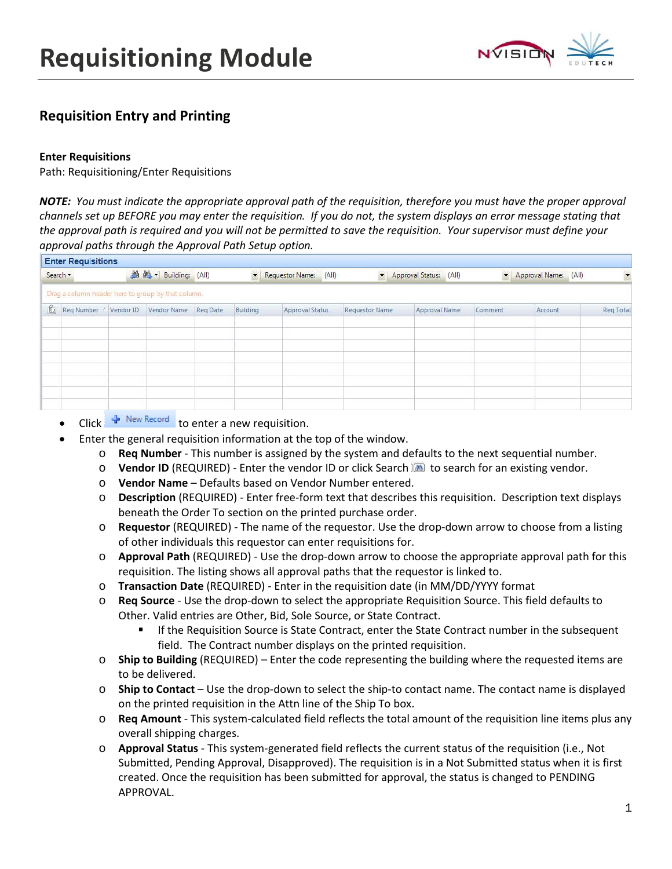

# **Requisition Entry and Printing**

# **Enter Requisitions**

Path: Requisitioning/Enter Requisitions

*NOTE: You must indicate the appropriate approval path of the requisition, therefore you must have the proper approval channels set up BEFORE you may enter the requisition. If you do not, the system displays an error message stating that the approval path is required and you will not be permitted to save the requisition. Your supervisor must define your approval paths through the Approval Path Setup option.*

|              | <b>Enter Requisitions</b> |           |                                                    |          |           |                        |                       |                        |                      |           |                      |           |
|--------------|---------------------------|-----------|----------------------------------------------------|----------|-----------|------------------------|-----------------------|------------------------|----------------------|-----------|----------------------|-----------|
| Search *     |                           |           | 当 M · Building: (All)                              |          | $\bullet$ | Requestor Name: (All)  | $\star$               | Approval Status: (All) |                      | $\bullet$ | Approval Name: (All) |           |
|              |                           |           | Drag a column header here to group by that column. |          |           |                        |                       |                        |                      |           |                      |           |
| $\mathbb{G}$ | Req Number /              | Vendor ID | Vendor Name                                        | Reg Date | Building  | <b>Approval Status</b> | <b>Requestor Name</b> |                        | <b>Approval Name</b> | Comment   | Account              | Reg Total |
|              |                           |           |                                                    |          |           |                        |                       |                        |                      |           |                      |           |
|              |                           |           |                                                    |          |           |                        |                       |                        |                      |           |                      |           |
|              |                           |           |                                                    |          |           |                        |                       |                        |                      |           |                      |           |
|              |                           |           |                                                    |          |           |                        |                       |                        |                      |           |                      |           |
|              |                           |           |                                                    |          |           |                        |                       |                        |                      |           |                      |           |
|              |                           |           |                                                    |          |           |                        |                       |                        |                      |           |                      |           |

- Click  $\frac{1}{T}$  New Record to enter a new requisition.
- Enter the general requisition information at the top of the window.
	- o **Req Number** This number is assigned by the system and defaults to the next sequential number.
	- **O** Vendor ID (REQUIRED) Enter the vendor ID or click Search **a** to search for an existing vendor.
	- o **Vendor Name** Defaults based on Vendor Number entered.
	- o **Description** (REQUIRED) Enter free-form text that describes this requisition. Description text displays beneath the Order To section on the printed purchase order.
	- o **Requestor** (REQUIRED) The name of the requestor. Use the drop-down arrow to choose from a listing of other individuals this requestor can enter requisitions for.
	- o **Approval Path** (REQUIRED) Use the drop-down arrow to choose the appropriate approval path for this requisition. The listing shows all approval paths that the requestor is linked to.
	- o **Transaction Date** (REQUIRED) Enter in the requisition date (in MM/DD/YYYY format
	- o **Req Source** Use the drop-down to select the appropriate Requisition Source. This field defaults to Other. Valid entries are Other, Bid, Sole Source, or State Contract.
		- If the Requisition Source is State Contract, enter the State Contract number in the subsequent field. The Contract number displays on the printed requisition.
	- o **Ship to Building** (REQUIRED) Enter the code representing the building where the requested items are to be delivered.
	- o **Ship to Contact** Use the drop-down to select the ship-to contact name. The contact name is displayed on the printed requisition in the Attn line of the Ship To box.
	- o **Req Amount** This system-calculated field reflects the total amount of the requisition line items plus any overall shipping charges.
	- o **Approval Status** This system-generated field reflects the current status of the requisition (i.e., Not Submitted, Pending Approval, Disapproved). The requisition is in a Not Submitted status when it is first created. Once the requisition has been submitted for approval, the status is changed to PENDING APPROVAL.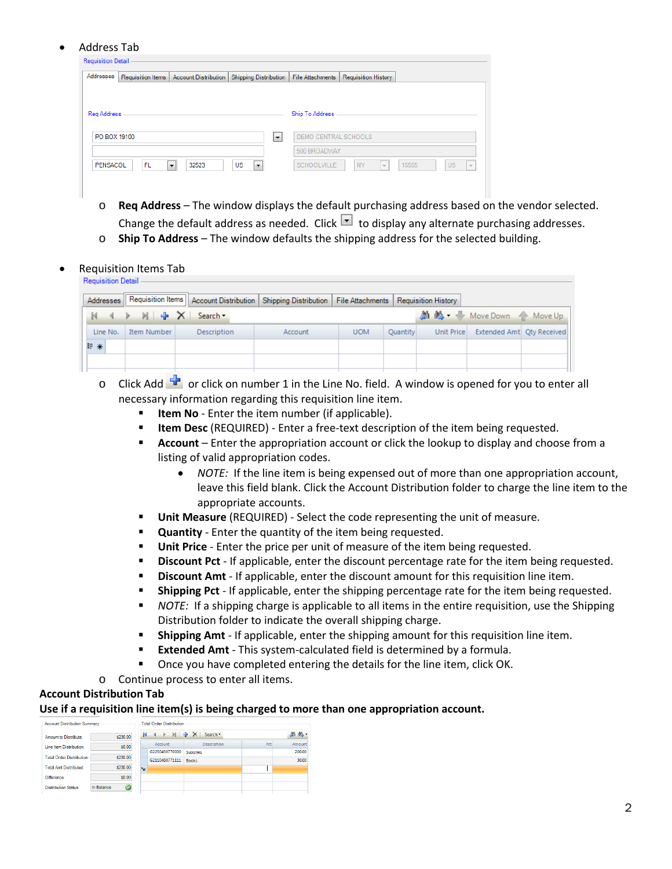#### • Address Tab

| Addresses    | Requisition Items | <b>Account Distribution</b> | <b>Shipping Distribution</b> | <b>File Attachments</b> | Requisition History |  |
|--------------|-------------------|-----------------------------|------------------------------|-------------------------|---------------------|--|
| Reg Address  |                   |                             |                              | Ship To Address         |                     |  |
|              |                   |                             |                              |                         |                     |  |
| PO BOX 19100 |                   |                             | ◛                            | DEMO CENTRAL SCHOOLS    |                     |  |
|              |                   |                             |                              | 500 BROADWAY            |                     |  |

- o **Req Address** The window displays the default purchasing address based on the vendor selected. Change the default address as needed. Click  $\Box$  to display any alternate purchasing addresses.
- o **Ship To Address** The window defaults the shipping address for the selected building.
- Requisition Items Tab

|          | <b>Requisition Detail</b> |                    |                                                                              |                                        |          |            |                              |  |  |  |  |  |  |
|----------|---------------------------|--------------------|------------------------------------------------------------------------------|----------------------------------------|----------|------------|------------------------------|--|--|--|--|--|--|
|          |                           |                    | Addresses   Requisition Items   Account Distribution   Shipping Distribution | File Attachments   Requisition History |          |            |                              |  |  |  |  |  |  |
|          | K < ▶ ▶ - X Search        |                    |                                                                              |                                        |          |            | <b>A Move Down</b> 个 Move Up |  |  |  |  |  |  |
| Line No. | Item Number               | <b>Description</b> | Account                                                                      | <b>UOM</b>                             | Quantity | Unit Price | Extended Amt Qty Received    |  |  |  |  |  |  |
| 三 米      |                           |                    |                                                                              |                                        |          |            |                              |  |  |  |  |  |  |
|          |                           |                    |                                                                              |                                        |          |            |                              |  |  |  |  |  |  |
|          |                           |                    |                                                                              |                                        |          |            |                              |  |  |  |  |  |  |

- o Click Add  $\mathbf{F}$  or click on number 1 in the Line No. field. A window is opened for you to enter all necessary information regarding this requisition line item.
	- **Item No** Enter the item number (if applicable).
	- **ILEM Desc** (REQUIRED) Enter a free-text description of the item being requested.
	- **Account** Enter the appropriation account or click the lookup to display and choose from a listing of valid appropriation codes.
		- *NOTE:* If the line item is being expensed out of more than one appropriation account, leave this field blank. Click the Account Distribution folder to charge the line item to the appropriate accounts.
	- **Unit Measure** (REQUIRED) Select the code representing the unit of measure.
	- **Quantity** Enter the quantity of the item being requested.
	- **Unit Price** Enter the price per unit of measure of the item being requested.
	- **Discount Pct** If applicable, enter the discount percentage rate for the item being requested.
	- **Discount Amt** If applicable, enter the discount amount for this requisition line item.
	- **Shipping Pct** If applicable, enter the shipping percentage rate for the item being requested.
	- *NOTE:* If a shipping charge is applicable to all items in the entire requisition, use the Shipping Distribution folder to indicate the overall shipping charge.
	- **Shipping Amt** If applicable, enter the shipping amount for this requisition line item.
	- **Extended Amt** This system-calculated field is determined by a formula.
	- Once you have completed entering the details for the line item, click OK.
- o Continue process to enter all items.

# **Account Distribution Tab**

#### **Use if a requisition line item(s) is being charged to more than one appropriation account.**

| <b>Account Distribution Summary</b> |                                        | <b>Total Order Distribution</b> |                |                     |     |        |  |  |  |  |
|-------------------------------------|----------------------------------------|---------------------------------|----------------|---------------------|-----|--------|--|--|--|--|
| Amount to Distribute:               | \$230.00                               |                                 | $\rightarrow$  | $M + X$<br>Search * |     | 当然     |  |  |  |  |
| Line Item Distribution:             | \$0.00                                 |                                 | Account        | <b>Description</b>  | Pct | Amount |  |  |  |  |
|                                     |                                        |                                 | G2250450770000 | <b>Supplies</b>     |     | 200,00 |  |  |  |  |
| <b>Total Order Distribution:</b>    | \$230.00                               |                                 | G2110480771111 | <b>Books</b>        |     | 30.00  |  |  |  |  |
| <b>Total Amt Distributed:</b>       | \$230.00                               | $*$                             |                |                     |     |        |  |  |  |  |
| Difference:                         | \$0.00                                 |                                 |                |                     |     |        |  |  |  |  |
| <b>Distribution Status:</b>         | $\color{blue}\heartsuit$<br>In Balance |                                 |                |                     |     |        |  |  |  |  |